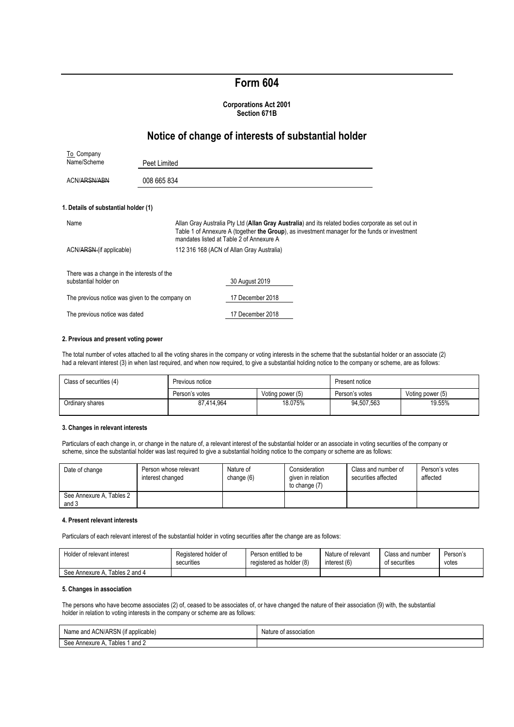# **Form 604**

#### **Corporations Act 2001 Section 671B**

## **Notice of change of interests of substantial holder**

| To Company                                                          |              |                                                                                                                                                                                                                                                 |
|---------------------------------------------------------------------|--------------|-------------------------------------------------------------------------------------------------------------------------------------------------------------------------------------------------------------------------------------------------|
| Name/Scheme                                                         | Peet Limited |                                                                                                                                                                                                                                                 |
| ACN/ARSN/ABN                                                        | 008 665 834  |                                                                                                                                                                                                                                                 |
| 1. Details of substantial holder (1)                                |              |                                                                                                                                                                                                                                                 |
| Name                                                                |              | Allan Gray Australia Pty Ltd (Allan Gray Australia) and its related bodies corporate as set out in<br>Table 1 of Annexure A (together the Group), as investment manager for the funds or investment<br>mandates listed at Table 2 of Annexure A |
| ACN/ARSN (if applicable)                                            |              | 112 316 168 (ACN of Allan Gray Australia)                                                                                                                                                                                                       |
| There was a change in the interests of the<br>substantial holder on |              | 30 August 2019                                                                                                                                                                                                                                  |
| The previous notice was given to the company on                     |              | 17 December 2018                                                                                                                                                                                                                                |
| The previous notice was dated                                       |              | 17 December 2018                                                                                                                                                                                                                                |

#### **2. Previous and present voting power**

The total number of votes attached to all the voting shares in the company or voting interests in the scheme that the substantial holder or an associate (2) had a relevant interest (3) in when last required, and when now required, to give a substantial holding notice to the company or scheme, are as follows:

| Class of securities (4) | Previous notice |                  | Present notice |                  |
|-------------------------|-----------------|------------------|----------------|------------------|
|                         | Person's votes  | Voting power (5) | Person's votes | Voting power (5) |
| Ordinary shares         | 87.414.964      | 18.075%          | 94.507.563     | 19.55%           |

#### **3. Changes in relevant interests**

Particulars of each change in, or change in the nature of, a relevant interest of the substantial holder or an associate in voting securities of the company or scheme, since the substantial holder was last required to give a substantial holding notice to the company or scheme are as follows:

| Date of change                    | Person whose relevant<br>interest changed | Nature of<br>change (6) | Consideration<br>given in relation<br>to change (7) | Class and number of<br>securities affected | Person's votes<br>affected |
|-----------------------------------|-------------------------------------------|-------------------------|-----------------------------------------------------|--------------------------------------------|----------------------------|
| See Annexure A, Tables 2<br>and 3 |                                           |                         |                                                     |                                            |                            |

#### **4. Present relevant interests**

Particulars of each relevant interest of the substantial holder in voting securities after the change are as follows:

| Holder of relevant interest    | Registered holder of | Person entitled to be    | Nature of relevant | Class and number | Person's |
|--------------------------------|----------------------|--------------------------|--------------------|------------------|----------|
|                                | securities           | registered as holder (8) | interest (6)       | of securities    | votes    |
| See Annexure A. Tables 2 and 4 |                      |                          |                    |                  |          |

## **5. Changes in association**

The persons who have become associates (2) of, ceased to be associates of, or have changed the nature of their association (9) with, the substantial holder in relation to voting interests in the company or scheme are as follows:

| Name and ACN/ARSN (if applicable) | Nature of association |
|-----------------------------------|-----------------------|
| See Annexure A<br>Tables 1 and 2  |                       |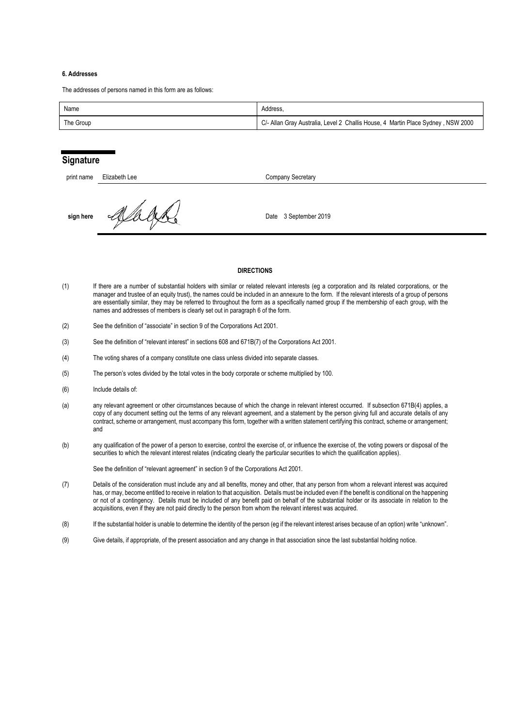#### **6. Addresses**

The addresses of persons named in this form are as follows:

| Name      | Address.                                                                         |
|-----------|----------------------------------------------------------------------------------|
| The Group | C/- Allan Gray Australia, Level 2 Challis House, 4 Martin Place Sydney, NSW 2000 |

## **Signature**

| print name | Elizabeth Lee | Company Secretary     |
|------------|---------------|-----------------------|
| sign here  |               | Date 3 September 2019 |

## **DIRECTIONS**

- (1) If there are a number of substantial holders with similar or related relevant interests (eg a corporation and its related corporations, or the manager and trustee of an equity trust), the names could be included in an annexure to the form. If the relevant interests of a group of persons are essentially similar, they may be referred to throughout the form as a specifically named group if the membership of each group, with the names and addresses of members is clearly set out in paragraph 6 of the form.
- (2) See the definition of "associate" in section 9 of the Corporations Act 2001.
- (3) See the definition of "relevant interest" in sections 608 and 671B(7) of the Corporations Act 2001.
- (4) The voting shares of a company constitute one class unless divided into separate classes.
- (5) The person's votes divided by the total votes in the body corporate or scheme multiplied by 100.
- (6) Include details of:
- (a) any relevant agreement or other circumstances because of which the change in relevant interest occurred. If subsection 671B(4) applies, a copy of any document setting out the terms of any relevant agreement, and a statement by the person giving full and accurate details of any contract, scheme or arrangement, must accompany this form, together with a written statement certifying this contract, scheme or arrangement; and
- (b) any qualification of the power of a person to exercise, control the exercise of, or influence the exercise of, the voting powers or disposal of the securities to which the relevant interest relates (indicating clearly the particular securities to which the qualification applies).

See the definition of "relevant agreement" in section 9 of the Corporations Act 2001.

- (7) Details of the consideration must include any and all benefits, money and other, that any person from whom a relevant interest was acquired has, or may, become entitled to receive in relation to that acquisition. Details must be included even if the benefit is conditional on the happening or not of a contingency. Details must be included of any benefit paid on behalf of the substantial holder or its associate in relation to the acquisitions, even if they are not paid directly to the person from whom the relevant interest was acquired.
- (8) If the substantial holder is unable to determine the identity of the person (eg if the relevant interest arises because of an option) write "unknown".
- (9) Give details, if appropriate, of the present association and any change in that association since the last substantial holding notice.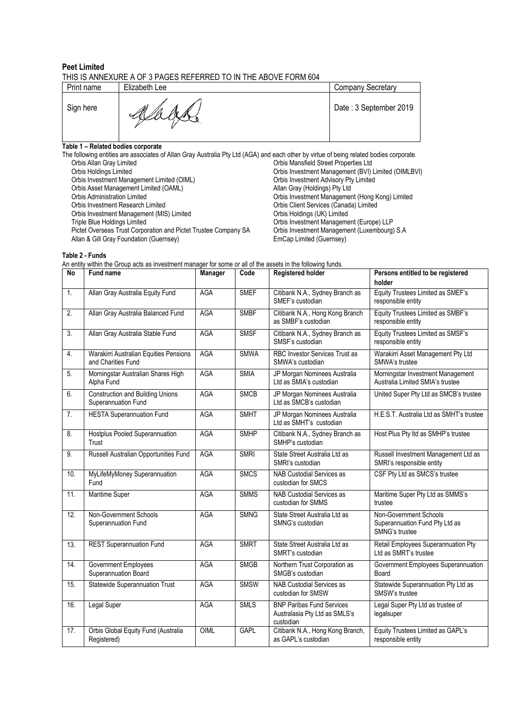#### **Peet Limited** THIS IS ANNEXURE A OF 3 PAGES REFERRED TO IN THE ABOVE FORM 604

| Print name | Elizabeth Lee | <b>Company Secretary</b> |
|------------|---------------|--------------------------|
| Sign here  |               | Date: 3 September 2019   |

**Table 1 – Related bodies corporate**

The following entities are associates of Allan Gray Australia Pty Ltd (AGA) and each other by virtue of being related bodies corporate. Orbis Allan Gray Limited Corbis Mansfield Street Properties Ltd<br>Orbis Holdings Limited Corbis Investment Management (BVI) I Orbis Investment Management (BVI) Limited (OIMLBVI)<br>Orbis Investment Advisory Pty Limited Orbis Investment Management Limited (OIML) Orbis Investment Advisory Pt<br>
Orbis Asset Management Limited (OAML) Changement Allan Gray (Holdings) Pty Ltd Orbis Asset Management Limited (OAML)<br>Orbis Asset Management Limited (OAML) Orbis Administration Limited **Calcular Corporation Limited Critics** Orbis Investment Management (Hong Kong) Limited<br>
Orbis Investment Research Limited Critics (Canada) Limited Critics (Canada) Limited **Orbis Client Services (Canada) Limited Orbis Holdings (UK) Limited** Orbis Investment Management (MIS) Limited<br>Triple Blue Holdings Limited Orbis Investment Management (Europe) LLP<br>Orbis Investment Management (Luxembourg) S.A Pictet Overseas Trust Corporation and Pictet Trustee Company SA Orbis Investment Management Management (Guernsey) S. Allan & Gill Gray Foundation (Guernsey)

**Table 2 - Funds**

An entity within the Group acts as investment manager for some or all of the assets in the following funds.

| No               | <b>Fund name</b>                                               | Manager    | Code        | <b>Registered holder</b>                                                       | Persons entitled to be registered<br>holder                                |
|------------------|----------------------------------------------------------------|------------|-------------|--------------------------------------------------------------------------------|----------------------------------------------------------------------------|
| 1.               | Allan Gray Australia Equity Fund                               | AGA        | <b>SMEF</b> | Citibank N.A., Sydney Branch as<br>SMEF's custodian                            | Equity Trustees Limited as SMEF's<br>responsible entity                    |
| $\overline{2}$ . | Allan Gray Australia Balanced Fund                             | <b>AGA</b> | <b>SMBF</b> | Citibank N.A., Hong Kong Branch<br>as SMBF's custodian                         | Equity Trustees Limited as SMBF's<br>responsible entity                    |
| 3.               | Allan Gray Australia Stable Fund                               | <b>AGA</b> | <b>SMSF</b> | Citibank N.A., Sydney Branch as<br>SMSF's custodian                            | Equity Trustees Limited as SMSF's<br>responsible entity                    |
| 4.               | Warakirri Australian Equities Pensions<br>and Charities Fund   | <b>AGA</b> | <b>SMWA</b> | RBC Investor Services Trust as<br>SMWA's custodian                             | Warakirri Asset Management Pty Ltd<br>SMWA's trustee                       |
| 5.               | Morningstar Australian Shares High<br>Alpha Fund               | <b>AGA</b> | <b>SMIA</b> | JP Morgan Nominees Australia<br>Ltd as SMIA's custodian                        | Morningstar Investment Management<br>Australia Limited SMIA's trustee      |
| 6.               | <b>Construction and Building Unions</b><br>Superannuation Fund | AGA        | <b>SMCB</b> | JP Morgan Nominees Australia<br>Ltd as SMCB's custodian                        | United Super Pty Ltd as SMCB's trustee                                     |
| 7.               | <b>HESTA Superannuation Fund</b>                               | AGA        | <b>SMHT</b> | JP Morgan Nominees Australia<br>Ltd as SMHT's custodian                        | H.E.S.T. Australia Ltd as SMHT's trustee                                   |
| 8.               | Hostplus Pooled Superannuation<br>Trust                        | AGA        | <b>SMHP</b> | Citibank N.A., Sydney Branch as<br>SMHP's custodian                            | Host Plus Pty Itd as SMHP's trustee                                        |
| 9.               | Russell Australian Opportunities Fund                          | AGA        | <b>SMRI</b> | State Street Australia Ltd as<br>SMRI's custodian                              | Russell Investment Management Ltd as<br>SMRI's responsible entity          |
| 10.              | MyLifeMyMoney Superannuation<br>Fund                           | AGA        | <b>SMCS</b> | <b>NAB Custodial Services as</b><br>custodian for SMCS                         | CSF Pty Ltd as SMCS's trustee                                              |
| 11.              | Maritime Super                                                 | AGA        | <b>SMMS</b> | <b>NAB Custodial Services as</b><br>custodian for SMMS                         | Maritime Super Pty Ltd as SMMS's<br>trustee                                |
| 12.              | Non-Government Schools<br>Superannuation Fund                  | AGA        | <b>SMNG</b> | State Street Australia Ltd as<br>SMNG's custodian                              | Non-Government Schools<br>Superannuation Fund Pty Ltd as<br>SMNG's trustee |
| 13.              | <b>REST Superannuation Fund</b>                                | <b>AGA</b> | <b>SMRT</b> | State Street Australia Ltd as<br>SMRT's custodian                              | Retail Employees Superannuation Pty<br>Ltd as SMRT's trustee               |
| 14.              | Government Employees<br>Superannuation Board                   | <b>AGA</b> | <b>SMGB</b> | Northern Trust Corporation as<br>SMGB's custodian                              | Government Employees Superannuation<br>Board                               |
| 15.              | <b>Statewide Superannuation Trust</b>                          | <b>AGA</b> | <b>SMSW</b> | NAB Custodial Services as<br>custodian for SMSW                                | Statewide Superannuation Pty Ltd as<br>SMSW's trustee                      |
| 16.              | <b>Legal Super</b>                                             | <b>AGA</b> | <b>SMLS</b> | <b>BNP Paribas Fund Services</b><br>Australasia Pty Ltd as SMLS's<br>custodian | Legal Super Pty Ltd as trustee of<br>legalsuper                            |
| 17.              | Orbis Global Equity Fund (Australia<br>Registered)             | OIML       | <b>GAPL</b> | Citibank N.A., Hong Kong Branch,<br>as GAPL's custodian                        | Equity Trustees Limited as GAPL's<br>responsible entity                    |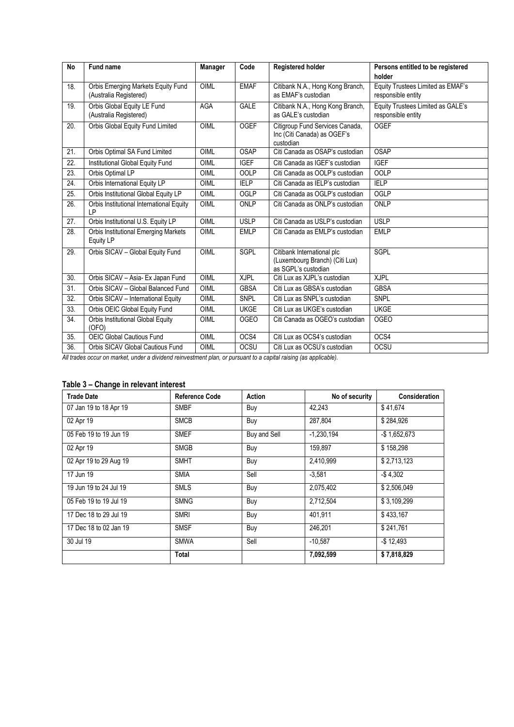| <b>No</b>       | Fund name                                                       | Manager     | Code        | <b>Registered holder</b>                                                            | Persons entitled to be registered                       |
|-----------------|-----------------------------------------------------------------|-------------|-------------|-------------------------------------------------------------------------------------|---------------------------------------------------------|
|                 |                                                                 |             |             |                                                                                     | holder                                                  |
| 18.             | Orbis Emerging Markets Equity Fund<br>(Australia Registered)    | OIML        | <b>EMAF</b> | Citibank N.A., Hong Kong Branch,<br>as EMAF's custodian                             | Equity Trustees Limited as EMAF's<br>responsible entity |
| 19.             | Orbis Global Equity LE Fund<br>(Australia Registered)           | <b>AGA</b>  | <b>GALE</b> | Citibank N.A., Hong Kong Branch,<br>as GALE's custodian                             | Equity Trustees Limited as GALE's<br>responsible entity |
| 20.             | Orbis Global Equity Fund Limited                                | OIML        | <b>OGEF</b> | Citigroup Fund Services Canada,<br>Inc (Citi Canada) as OGEF's<br>custodian         | <b>OGEF</b>                                             |
| $\overline{21}$ | Orbis Optimal SA Fund Limited                                   | OIML        | <b>OSAP</b> | Citi Canada as OSAP's custodian                                                     | <b>OSAP</b>                                             |
| 22.             | Institutional Global Equity Fund                                | <b>OIML</b> | <b>IGEF</b> | Citi Canada as IGEF's custodian                                                     | <b>IGEF</b>                                             |
| 23.             | Orbis Optimal LP                                                | <b>OIML</b> | <b>OOLP</b> | Citi Canada as OOLP's custodian                                                     | <b>OOLP</b>                                             |
| 24.             | Orbis International Equity LP                                   | OIML        | <b>IELP</b> | Citi Canada as IELP's custodian                                                     | <b>IELP</b>                                             |
| 25.             | Orbis Institutional Global Equity LP                            | <b>OIML</b> | OGLP        | Citi Canada as OGLP's custodian                                                     | OGLP                                                    |
| 26.             | Orbis Institutional International Equity<br>LP                  | <b>OIML</b> | <b>ONLP</b> | Citi Canada as ONLP's custodian                                                     | <b>ONLP</b>                                             |
| 27.             | Orbis Institutional U.S. Equity LP                              | OIML        | <b>USLP</b> | Citi Canada as USLP's custodian                                                     | <b>USLP</b>                                             |
| 28.             | <b>Orbis Institutional Emerging Markets</b><br><b>Equity LP</b> | <b>OIML</b> | <b>EMLP</b> | Citi Canada as EMLP's custodian                                                     | <b>EMLP</b>                                             |
| 29.             | Orbis SICAV - Global Equity Fund                                | OIML        | SGPL        | Citibank International plc<br>(Luxembourg Branch) (Citi Lux)<br>as SGPL's custodian | <b>SGPL</b>                                             |
| 30.             | Orbis SICAV - Asia- Ex Japan Fund                               | OIML        | <b>XJPL</b> | Citi Lux as XJPL's custodian                                                        | <b>XJPL</b>                                             |
| 31.             | Orbis SICAV - Global Balanced Fund                              | OIML        | <b>GBSA</b> | Citi Lux as GBSA's custodian                                                        | <b>GBSA</b>                                             |
| 32.             | Orbis SICAV - International Equity                              | <b>OIML</b> | SNPL        | Citi Lux as SNPL's custodian                                                        | <b>SNPL</b>                                             |
| 33.             | Orbis OEIC Global Equity Fund                                   | OIML        | <b>UKGE</b> | Citi Lux as UKGE's custodian                                                        | <b>UKGE</b>                                             |
| 34.             | Orbis Institutional Global Equity<br>(OFO)                      | OIML        | <b>OGEO</b> | Citi Canada as OGEO's custodian                                                     | <b>OGEO</b>                                             |
| 35.             | <b>OEIC Global Cautious Fund</b>                                | OIML        | OCS4        | Citi Lux as OCS4's custodian                                                        | OCS4                                                    |
| 36.             | Orbis SICAV Global Cautious Fund                                | OIML        | <b>OCSU</b> | Citi Lux as OCSU's custodian                                                        | OCSU                                                    |

*All trades occur on market, under a dividend reinvestment plan, or pursuant to a capital raising (as applicable).*

## **Table 3 – Change in relevant interest**

| <b>Trade Date</b>      | <b>Reference Code</b> | Action       | No of security | Consideration   |
|------------------------|-----------------------|--------------|----------------|-----------------|
| 07 Jan 19 to 18 Apr 19 | <b>SMBF</b>           | Buy          | 42.243         | \$41.674        |
| 02 Apr 19              | <b>SMCB</b>           | Buy          | 287,804        | \$284.926       |
| 05 Feb 19 to 19 Jun 19 | <b>SMEF</b>           | Buy and Sell | $-1,230,194$   | $-$ \$1,652,673 |
| 02 Apr 19              | <b>SMGB</b>           | Buy          | 159.897        | \$158.298       |
| 02 Apr 19 to 29 Aug 19 | <b>SMHT</b>           | Buy          | 2,410,999      | \$2,713,123     |
| 17 Jun 19              | <b>SMIA</b>           | Sell         | $-3.581$       | $-$4.302$       |
| 19 Jun 19 to 24 Jul 19 | <b>SMLS</b>           | Buy          | 2,075,402      | \$2,506,049     |
| 05 Feb 19 to 19 Jul 19 | <b>SMNG</b>           | Buy          | 2,712,504      | \$3,109,299     |
| 17 Dec 18 to 29 Jul 19 | <b>SMRI</b>           | Buy          | 401.911        | \$433,167       |
| 17 Dec 18 to 02 Jan 19 | <b>SMSF</b>           | Buy          | 246,201        | \$241,761       |
| 30 Jul 19              | <b>SMWA</b>           | Sell         | $-10,587$      | $-$12,493$      |
|                        | <b>Total</b>          |              | 7,092,599      | \$7,818,829     |